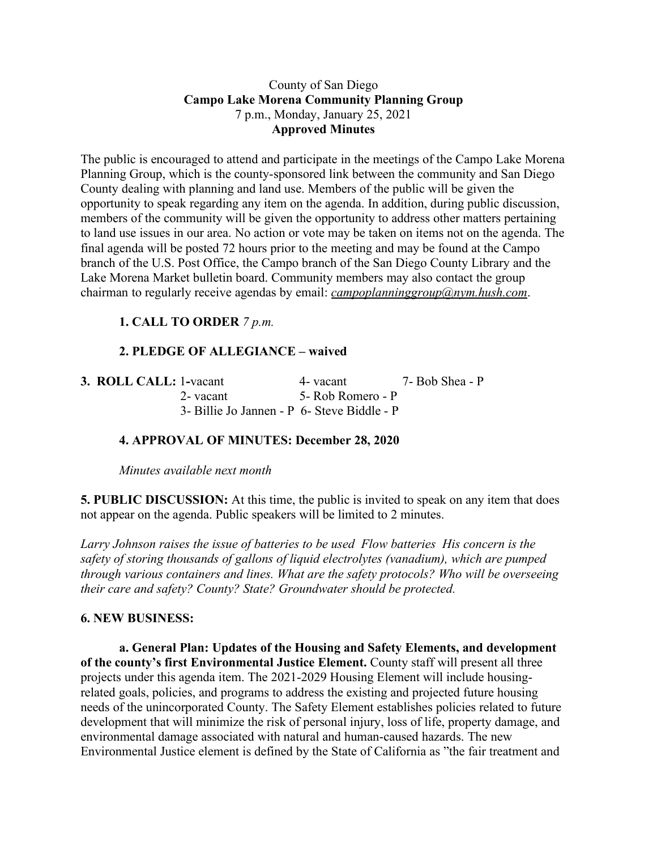#### County of San Diego **Campo Lake Morena Community Planning Group** 7 p.m., Monday, January 25, 2021 **Approved Minutes**

The public is encouraged to attend and participate in the meetings of the Campo Lake Morena Planning Group, which is the county-sponsored link between the community and San Diego County dealing with planning and land use. Members of the public will be given the opportunity to speak regarding any item on the agenda. In addition, during public discussion, members of the community will be given the opportunity to address other matters pertaining to land use issues in our area. No action or vote may be taken on items not on the agenda. The final agenda will be posted 72 hours prior to the meeting and may be found at the Campo branch of the U.S. Post Office, the Campo branch of the San Diego County Library and the Lake Morena Market bulletin board. Community members may also contact the group chairman to regularly receive agendas by email: *campoplanninggroup@nym.hush.com*.

# **1. CALL TO ORDER** *7 p.m.*

# **2. PLEDGE OF ALLEGIANCE – waived**

| 3. ROLL CALL: 1-vacant                      | 4- vacant         | 7- Bob Shea - P |
|---------------------------------------------|-------------------|-----------------|
| 2- vacant                                   | 5- Rob Romero - P |                 |
| 3- Billie Jo Jannen - P 6- Steve Biddle - P |                   |                 |

### **4. APPROVAL OF MINUTES: December 28, 2020**

*Minutes available next month*

**5. PUBLIC DISCUSSION:** At this time, the public is invited to speak on any item that does not appear on the agenda. Public speakers will be limited to 2 minutes.

*Larry Johnson raises the issue of batteries to be used Flow batteries His concern is the safety of storing thousands of gallons of liquid electrolytes (vanadium), which are pumped through various containers and lines. What are the safety protocols? Who will be overseeing their care and safety? County? State? Groundwater should be protected.*

### **6. NEW BUSINESS:**

**a. General Plan: Updates of the Housing and Safety Elements, and development of the county's first Environmental Justice Element.** County staff will present all three projects under this agenda item. The 2021-2029 Housing Element will include housingrelated goals, policies, and programs to address the existing and projected future housing needs of the unincorporated County. The Safety Element establishes policies related to future development that will minimize the risk of personal injury, loss of life, property damage, and environmental damage associated with natural and human-caused hazards. The new Environmental Justice element is defined by the State of California as "the fair treatment and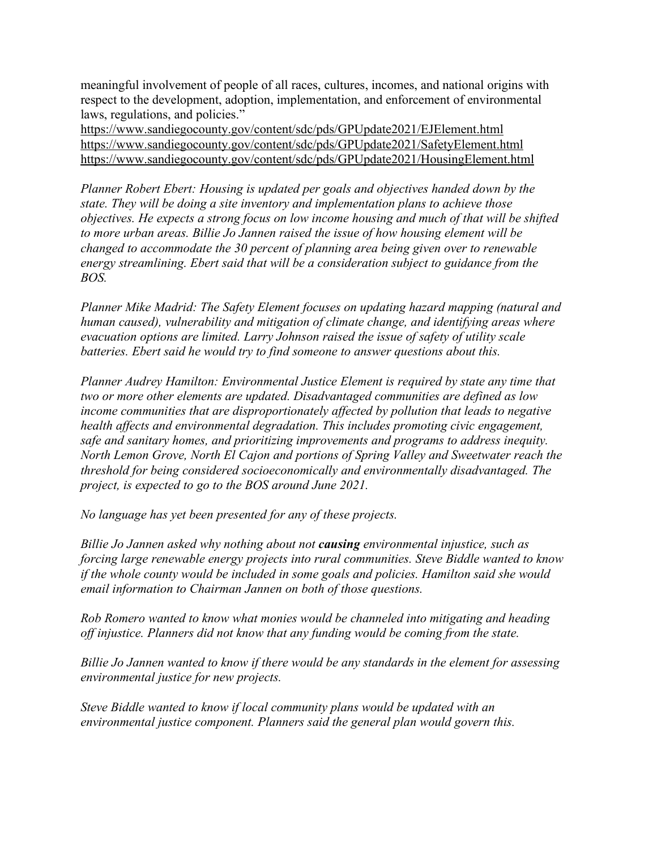meaningful involvement of people of all races, cultures, incomes, and national origins with respect to the development, adoption, implementation, and enforcement of environmental laws, regulations, and policies."

https://www.sandiegocounty.gov/content/sdc/pds/GPUpdate2021/EJElement.html https://www.sandiegocounty.gov/content/sdc/pds/GPUpdate2021/SafetyElement.html https://www.sandiegocounty.gov/content/sdc/pds/GPUpdate2021/HousingElement.html

*Planner Robert Ebert: Housing is updated per goals and objectives handed down by the state. They will be doing a site inventory and implementation plans to achieve those objectives. He expects a strong focus on low income housing and much of that will be shifted to more urban areas. Billie Jo Jannen raised the issue of how housing element will be changed to accommodate the 30 percent of planning area being given over to renewable energy streamlining. Ebert said that will be a consideration subject to guidance from the BOS.*

*Planner Mike Madrid: The Safety Element focuses on updating hazard mapping (natural and human caused), vulnerability and mitigation of climate change, and identifying areas where evacuation options are limited. Larry Johnson raised the issue of safety of utility scale batteries. Ebert said he would try to find someone to answer questions about this.*

*Planner Audrey Hamilton: Environmental Justice Element is required by state any time that two or more other elements are updated. Disadvantaged communities are defined as low income communities that are disproportionately affected by pollution that leads to negative health affects and environmental degradation. This includes promoting civic engagement, safe and sanitary homes, and prioritizing improvements and programs to address inequity. North Lemon Grove, North El Cajon and portions of Spring Valley and Sweetwater reach the threshold for being considered socioeconomically and environmentally disadvantaged. The project, is expected to go to the BOS around June 2021.*

*No language has yet been presented for any of these projects.*

*Billie Jo Jannen asked why nothing about not causing environmental injustice, such as forcing large renewable energy projects into rural communities. Steve Biddle wanted to know if the whole county would be included in some goals and policies. Hamilton said she would email information to Chairman Jannen on both of those questions.*

*Rob Romero wanted to know what monies would be channeled into mitigating and heading off injustice. Planners did not know that any funding would be coming from the state.*

*Billie Jo Jannen wanted to know if there would be any standards in the element for assessing environmental justice for new projects.*

*Steve Biddle wanted to know if local community plans would be updated with an environmental justice component. Planners said the general plan would govern this.*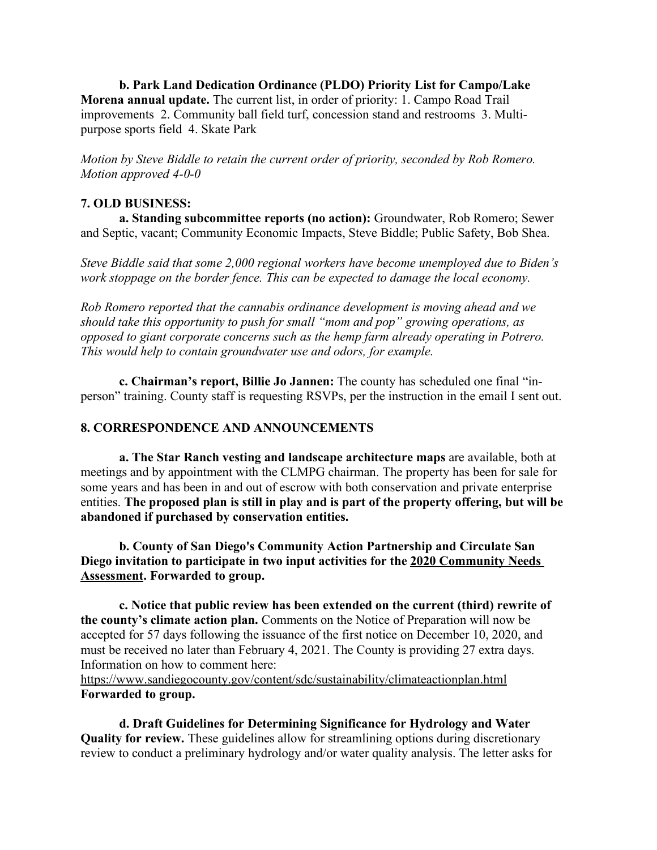**b. Park Land Dedication Ordinance (PLDO) Priority List for Campo/Lake Morena annual update.** The current list, in order of priority: 1. Campo Road Trail improvements 2. Community ball field turf, concession stand and restrooms 3. Multipurpose sports field 4. Skate Park

*Motion by Steve Biddle to retain the current order of priority, seconded by Rob Romero. Motion approved 4-0-0*

#### **7. OLD BUSINESS:**

**a. Standing subcommittee reports (no action):** Groundwater, Rob Romero; Sewer and Septic, vacant; Community Economic Impacts, Steve Biddle; Public Safety, Bob Shea.

*Steve Biddle said that some 2,000 regional workers have become unemployed due to Biden's work stoppage on the border fence. This can be expected to damage the local economy.*

*Rob Romero reported that the cannabis ordinance development is moving ahead and we should take this opportunity to push for small "mom and pop" growing operations, as opposed to giant corporate concerns such as the hemp farm already operating in Potrero. This would help to contain groundwater use and odors, for example.*

**c. Chairman's report, Billie Jo Jannen:** The county has scheduled one final "inperson" training. County staff is requesting RSVPs, per the instruction in the email I sent out.

#### **8. CORRESPONDENCE AND ANNOUNCEMENTS**

**a. The Star Ranch vesting and landscape architecture maps** are available, both at meetings and by appointment with the CLMPG chairman. The property has been for sale for some years and has been in and out of escrow with both conservation and private enterprise entities. **The proposed plan is still in play and is part of the property offering, but will be abandoned if purchased by conservation entities.**

**b. County of San Diego's Community Action Partnership and Circulate San Diego invitation to participate in two input activities for the 2020 Community Needs Assessment. Forwarded to group.**

**c. Notice that public review has been extended on the current (third) rewrite of the county's climate action plan.** Comments on the Notice of Preparation will now be accepted for 57 days following the issuance of the first notice on December 10, 2020, and must be received no later than February 4, 2021. The County is providing 27 extra days. Information on how to comment here:

https://www.sandiegocounty.gov/content/sdc/sustainability/climateactionplan.html **Forwarded to group.**

**d. Draft Guidelines for Determining Significance for Hydrology and Water Quality for review.** These guidelines allow for streamlining options during discretionary review to conduct a preliminary hydrology and/or water quality analysis. The letter asks for